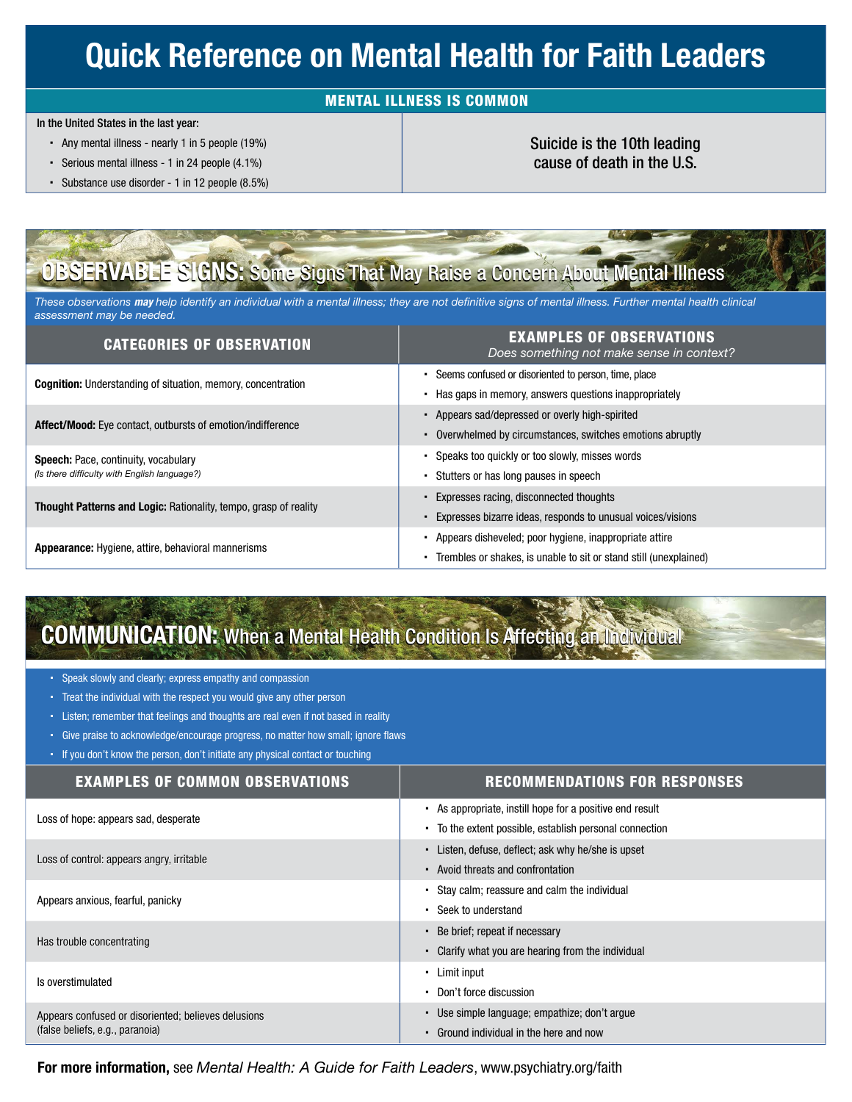# Quick Reference on Mental Health for Faith Leaders

### MENTAL ILLNESS IS COMMON

In the United States in the last year:

- Any mental illness nearly 1 in 5 people (19%)
- Serious mental illness 1 in 24 people (4.1%)
- Substance use disorder 1 in 12 people (8.5%)

### Suicide is the 10th leading cause of death in the U.S.

## OBSERVABLE SIGNS: Some Signs That May Raise a Concern About Mental Illness

*These observations may help identify an individual with a mental illness; they are not de*f*nitive signs of mental illness. Further mental health clinical assessment may be needed.* 

| <b>CATEGORIES OF OBSERVATION</b>                                                     | <b>EXAMPLES OF OBSERVATIONS</b><br>Does something not make sense in context? |
|--------------------------------------------------------------------------------------|------------------------------------------------------------------------------|
| <b>Cognition:</b> Understanding of situation, memory, concentration                  | Seems confused or disoriented to person, time, place<br>$\blacksquare$       |
|                                                                                      | Has gaps in memory, answers questions inappropriately                        |
| <b>Affect/Mood:</b> Eye contact, outbursts of emotion/indifference                   | Appears sad/depressed or overly high-spirited<br>٠                           |
|                                                                                      | Overwhelmed by circumstances, switches emotions abruptly<br>٠                |
| Speech: Pace, continuity, vocabulary<br>(Is there difficulty with English language?) | Speaks too quickly or too slowly, misses words                               |
|                                                                                      | Stutters or has long pauses in speech<br>٠                                   |
| <b>Thought Patterns and Logic: Rationality, tempo, grasp of reality</b>              | Expresses racing, disconnected thoughts<br>٠                                 |
|                                                                                      | Expresses bizarre ideas, responds to unusual voices/visions                  |
| <b>Appearance:</b> Hygiene, attire, behavioral mannerisms                            | Appears disheveled; poor hygiene, inappropriate attire                       |
|                                                                                      | Trembles or shakes, is unable to sit or stand still (unexplained)            |

# **COMMUNICATION:** When a Mental Health Condition Is Affecting an Individual

Speak slowly and clearly; express empathy and compassion

- Treat the individual with the respect you would give any other person
- Listen; remember that feelings and thoughts are real even if not based in reality
- Give praise to acknowledge/encourage progress, no matter how small; ignore flaws
- If you don't know the person, don't initiate any physical contact or touching

| <b>EXAMPLES OF COMMON OBSERVATIONS</b>                                                 | <b>RECOMMENDATIONS FOR RESPONSES</b>                                    |
|----------------------------------------------------------------------------------------|-------------------------------------------------------------------------|
| Loss of hope: appears sad, desperate                                                   | • As appropriate, instill hope for a positive end result                |
|                                                                                        | To the extent possible, establish personal connection<br>$\blacksquare$ |
| Loss of control: appears angry, irritable                                              | Listen, defuse, deflect; ask why he/she is upset<br>$\blacksquare$      |
|                                                                                        | • Avoid threats and confrontation                                       |
| Appears anxious, fearful, panicky                                                      | Stay calm; reassure and calm the individual                             |
|                                                                                        | Seek to understand<br>$\bullet$                                         |
| Has trouble concentrating                                                              | Be brief; repeat if necessary                                           |
|                                                                                        | Clarify what you are hearing from the individual                        |
| Is overstimulated                                                                      | Limit input                                                             |
|                                                                                        | Don't force discussion                                                  |
| Appears confused or disoriented; believes delusions<br>(false beliefs, e.g., paranoia) | Use simple language; empathize; don't argue                             |
|                                                                                        | Ground individual in the here and now                                   |

For more information, see *Mental Health: A Guide for Faith Leaders*, www.psychiatry.org/faith